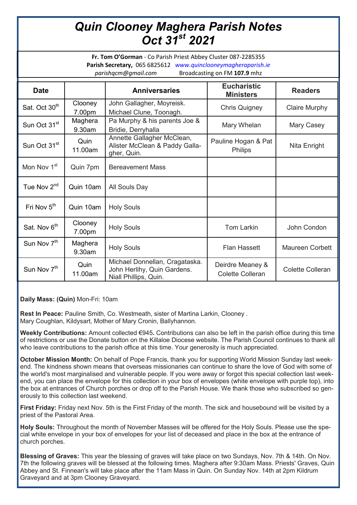## *Quin Clooney Maghera Parish Notes Oct 31st 2021*

**Fr. Tom O'Gorman** - Co Parish Priest Abbey Cluster 087-2285355 **Parish Secretary,** 065 6825612 *www.quinclooneymagheraparish.ie parishqcm@gmail.com* Broadcasting on FM **107.9** mhz

| <b>Date</b>               |                   | <b>Anniversaries</b>                                                                   | <b>Eucharistic</b><br><b>Ministers</b>      | <b>Readers</b>          |
|---------------------------|-------------------|----------------------------------------------------------------------------------------|---------------------------------------------|-------------------------|
| Sat. Oct 30 <sup>th</sup> | Clooney<br>7.00pm | John Gallagher, Moyreisk.<br>Michael Clune, Toonagh.                                   | <b>Chris Quigney</b>                        | <b>Claire Murphy</b>    |
| Sun Oct 31 <sup>st</sup>  | Maghera<br>9.30am | Pa Murphy & his parents Joe &<br>Bridie, Derryhalla                                    | Mary Whelan                                 | Mary Casey              |
| Sun Oct 31 <sup>st</sup>  | Quin<br>11.00am   | Annette Gallagher McClean,<br>Alister McClean & Paddy Galla-<br>gher, Quin.            | Pauline Hogan & Pat<br><b>Philips</b>       | Nita Enright            |
| Mon Nov 1 <sup>st</sup>   | Quin 7pm          | <b>Bereavement Mass</b>                                                                |                                             |                         |
| Tue Nov 2 <sup>nd</sup>   | Quin 10am         | All Souls Day                                                                          |                                             |                         |
| Fri Nov 5 <sup>th</sup>   | Quin 10am         | <b>Holy Souls</b>                                                                      |                                             |                         |
| Sat. Nov 6 <sup>th</sup>  | Clooney<br>7.00pm | <b>Holy Souls</b>                                                                      | <b>Tom Larkin</b>                           | John Condon             |
| Sun Nov 7 <sup>th</sup>   | Maghera<br>9.30am | <b>Holy Souls</b>                                                                      | <b>Flan Hassett</b>                         | <b>Maureen Corbett</b>  |
| Sun Nov 7 <sup>th</sup>   | Quin<br>11.00am   | Michael Donnellan, Cragataska.<br>John Herlihy, Quin Gardens.<br>Niall Phillips, Quin. | Deirdre Meaney &<br><b>Colette Colleran</b> | <b>Colette Colleran</b> |

**Daily Mass: (Quin)** Mon-Fri: 10am

**Rest In Peace:** Pauline Smith, Co. Westmeath, sister of Martina Larkin, Clooney . Mary Coughlan, Kildysart, Mother of Mary Cronin, Ballyhannon.

**Weekly Contributions:** Amount collected €945**.** Contributions can also be left in the parish office during this time of restrictions or use the Donate button on the Killaloe Diocese website. The Parish Council continues to thank all who leave contributions to the parish office at this time. Your generosity is much appreciated.

**October Mission Month:** On behalf of Pope Francis, thank you for supporting World Mission Sunday last weekend. The kindness shown means that overseas missionaries can continue to share the love of God with some of the world's most marginalised and vulnerable people. If you were away or forgot this special collection last weekend, you can place the envelope for this collection in your box of envelopes (white envelope with purple top), into the box at entrances of Church porches or drop off to the Parish House. We thank those who subscribed so generously to this collection last weekend.

**First Friday:** Friday next Nov. 5th is the First Friday of the month. The sick and housebound will be visited by a priest of the Pastoral Area.

**Holy Souls:** Throughout the month of November Masses will be offered for the Holy Souls. Please use the special white envelope in your box of envelopes for your list of deceased and place in the box at the entrance of church porches.

**Blessing of Graves:** This year the blessing of graves will take place on two Sundays, Nov. 7th & 14th. On Nov. 7th the following graves will be blessed at the following times. Maghera after 9:30am Mass. Priests' Graves, Quin Abbey and St. Finnean's will take place after the 11am Mass in Quin. On Sunday Nov. 14th at 2pm Kildrum Graveyard and at 3pm Clooney Graveyard.